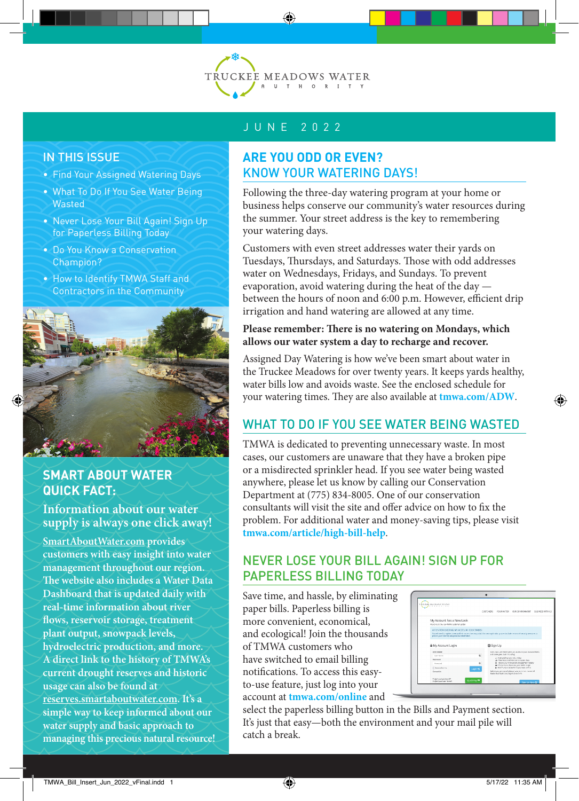

#### IN THIS ISSUE

- Find Your Assigned Watering Days
- What To Do If You See Water Being **Wasted**
- Never Lose Your Bill Again! Sign Up for Paperless Billing Today
- Do You Know a Conservation Champion?
- How to Identify TMWA Staff and Contractors in the Community



## **SMART ABOUT WATER QUICK FACT:**

**Information about our water supply is always one click away!** 

**SmartAboutWater.com provides customers with easy insight into water management throughout our region. The website also includes a Water Data Dashboard that is updated daily with real-time information about river flows, reservoir storage, treatment plant output, snowpack levels, hydroelectric production, and more. A direct link to the history of TMWA's current drought reserves and historic usage can also be found at reserves.smartaboutwater.com. It's a simple way to keep informed about our water supply and basic approach to managing this precious natural resource!**

## JUNE 2022

#### **ARE YOU ODD OR EVEN?** KNOW YOUR WATERING DAYS!

Following the three-day watering program at your home or business helps conserve our community's water resources during the summer. Your street address is the key to remembering your watering days.

Customers with even street addresses water their yards on Tuesdays, Thursdays, and Saturdays. Those with odd addresses water on Wednesdays, Fridays, and Sundays. To prevent evaporation, avoid watering during the heat of the day between the hours of noon and 6:00 p.m. However, efficient drip irrigation and hand watering are allowed at any time.

#### **Please remember: There is no watering on Mondays, which allows our water system a day to recharge and recover.**

Assigned Day Watering is how we've been smart about water in the Truckee Meadows for over twenty years. It keeps yards healthy, water bills low and avoids waste. See the enclosed schedule for your watering times. They are also available at **tmwa.com/ADW**.

# WHAT TO DO IF YOU SFF WATER BEING WASTED

TMWA is dedicated to preventing unnecessary waste. In most cases, our customers are unaware that they have a broken pipe or a misdirected sprinkler head. If you see water being wasted anywhere, please let us know by calling our Conservation Department at (775) 834-8005. One of our conservation consultants will visit the site and offer advice on how to fix the problem. For additional water and money-saving tips, please visit **tmwa.com/article/high-bill-help**.

## NEVER LOSE YOUR BILL AGAIN! SIGN UP FOR PAPERLESS BILLING TODAY

Save time, and hassle, by eliminating paper bills. Paperless billing is more convenient, economical, and ecological! Join the thousands of TMWA customers who have switched to email billing notifications. To access this easyto-use feature, just log into your account at **tmwa.com/online** and

|  | <b>DAIL MISPOSS BARA</b>                                                                                                                                                                                                      |                                                                                                                                                                     |
|--|-------------------------------------------------------------------------------------------------------------------------------------------------------------------------------------------------------------------------------|---------------------------------------------------------------------------------------------------------------------------------------------------------------------|
|  |                                                                                                                                                                                                                               | OUSTOWERS.<br>DURNESS'S<br><b>STEWARDS</b><br>OUR ENVIRONMENT                                                                                                       |
|  | My Account has a New Look<br>Writes on the first DERS customer and of                                                                                                                                                         |                                                                                                                                                                     |
|  | ATTENTION FAISTING MY ACCOUNT CUSTOMERS<br>Not will need to realize a new profile to approximately particle in necessive addressing potential before management to measure as<br>protocypur indondry and gestons information. |                                                                                                                                                                     |
|  | A My Account Login                                                                                                                                                                                                            | Sign Up                                                                                                                                                             |
|  | Liney Marsus<br>1 and Minister                                                                                                                                                                                                | University a cost Name alway you access to your wooded theirlor<br>and some great triefs framedings<br>m                                                            |
|  | Password<br><b>CONVENTS</b>                                                                                                                                                                                                   | 2. Year and Procurse with refere-<br>of client Ansance Meter composition data<br>III SHOP OUTSTORED ATOGRAPHIC TODAY<br>٠<br>A chiestrone doctors and safety were   |
|  | E. Incomberry<br>Corears Lin                                                                                                                                                                                                  | & - Accidence accessor to seur with a rollin<br>Login 40<br>Information of contributions in an about 20, on product<br>handle by an replace that may write on room. |
|  | Глуатуан рассмая Д<br><b>Forest value Loss Street</b>                                                                                                                                                                         | <b>Quick Pay III</b><br>Sign Life More DC                                                                                                                           |

select the paperless billing button in the Bills and Payment section. It's just that easy—both the environment and your mail pile will catch a break.